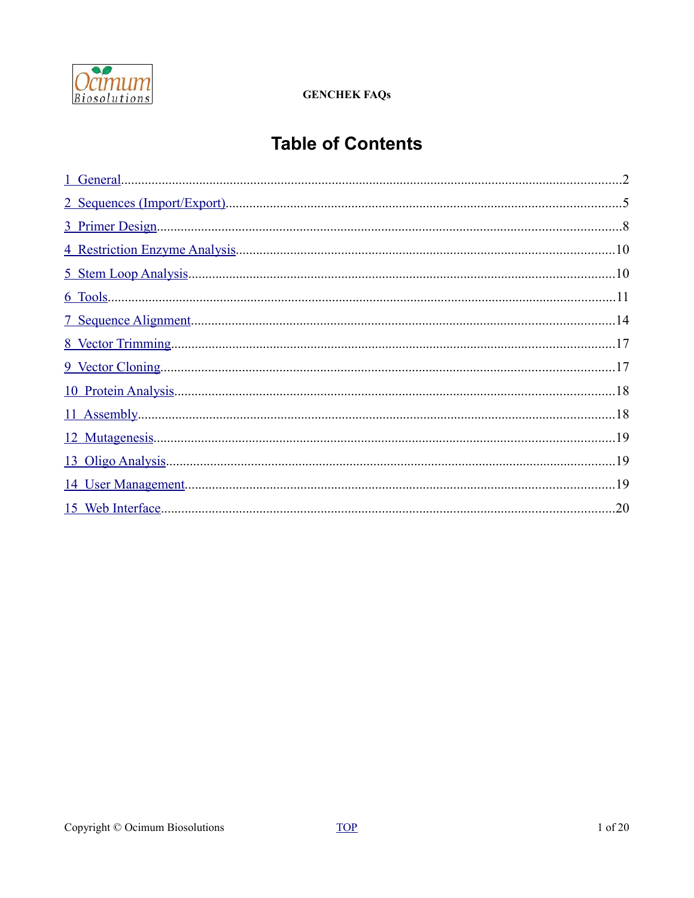

# <span id="page-0-0"></span>**Table of Contents**

| .19 |
|-----|
|     |
| .20 |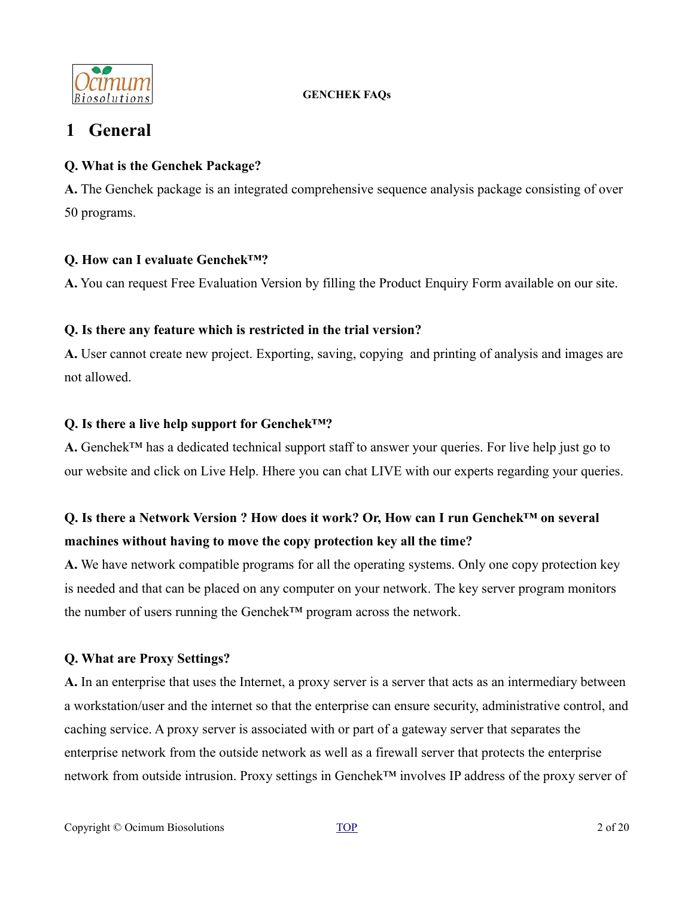

# <span id="page-1-0"></span>**1 General**

# **Q. What is the Genchek Package?**

**A.** The Genchek package is an integrated comprehensive sequence analysis package consisting of over 50 programs.

# **Q. How can I evaluate Genchek™?**

**A.** You can request Free Evaluation Version by filling the Product Enquiry Form available on our site.

# **Q. Is there any feature which is restricted in the trial version?**

**A.** User cannot create new project. Exporting, saving, copying and printing of analysis and images are not allowed.

# **Q. Is there a live help support for Genchek™?**

**A.** Genchek™ has a dedicated technical support staff to answer your queries. For live help just go to our website and click on Live Help. Hhere you can chat LIVE with our experts regarding your queries.

# **Q. Is there a Network Version ? How does it work? Or, How can I run Genchek™ on several machines without having to move the copy protection key all the time?**

**A.** We have network compatible programs for all the operating systems. Only one copy protection key is needed and that can be placed on any computer on your network. The key server program monitors the number of users running the Genchek™ program across the network.

# **Q. What are Proxy Settings?**

**A.** In an enterprise that uses the Internet, a proxy server is a server that acts as an intermediary between a workstation/user and the internet so that the enterprise can ensure security, administrative control, and caching service. A proxy server is associated with or part of a gateway server that separates the enterprise network from the outside network as well as a firewall server that protects the enterprise network from outside intrusion. Proxy settings in Genchek™ involves IP address of the proxy server of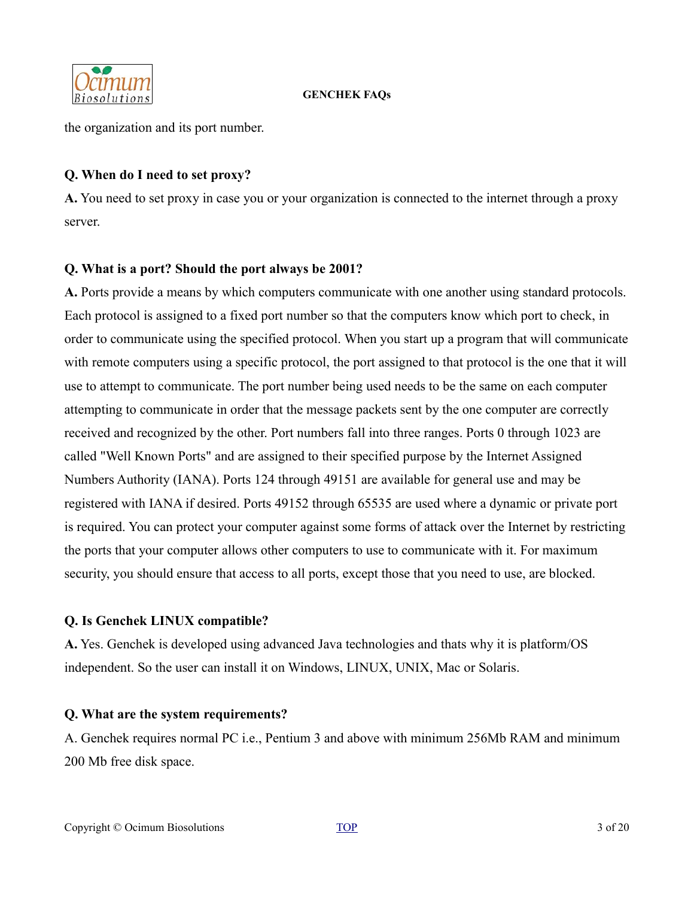

the organization and its port number.

### **Q. When do I need to set proxy?**

**A.** You need to set proxy in case you or your organization is connected to the internet through a proxy server.

# **Q. What is a port? Should the port always be 2001?**

**A.** Ports provide a means by which computers communicate with one another using standard protocols. Each protocol is assigned to a fixed port number so that the computers know which port to check, in order to communicate using the specified protocol. When you start up a program that will communicate with remote computers using a specific protocol, the port assigned to that protocol is the one that it will use to attempt to communicate. The port number being used needs to be the same on each computer attempting to communicate in order that the message packets sent by the one computer are correctly received and recognized by the other. Port numbers fall into three ranges. Ports 0 through 1023 are called "Well Known Ports" and are assigned to their specified purpose by the Internet Assigned Numbers Authority (IANA). Ports 124 through 49151 are available for general use and may be registered with IANA if desired. Ports 49152 through 65535 are used where a dynamic or private port is required. You can protect your computer against some forms of attack over the Internet by restricting the ports that your computer allows other computers to use to communicate with it. For maximum security, you should ensure that access to all ports, except those that you need to use, are blocked.

### **Q. Is Genchek LINUX compatible?**

**A.** Yes. Genchek is developed using advanced Java technologies and thats why it is platform/OS independent. So the user can install it on Windows, LINUX, UNIX, Mac or Solaris.

### **Q. What are the system requirements?**

A. Genchek requires normal PC i.e., Pentium 3 and above with minimum 256Mb RAM and minimum 200 Mb free disk space.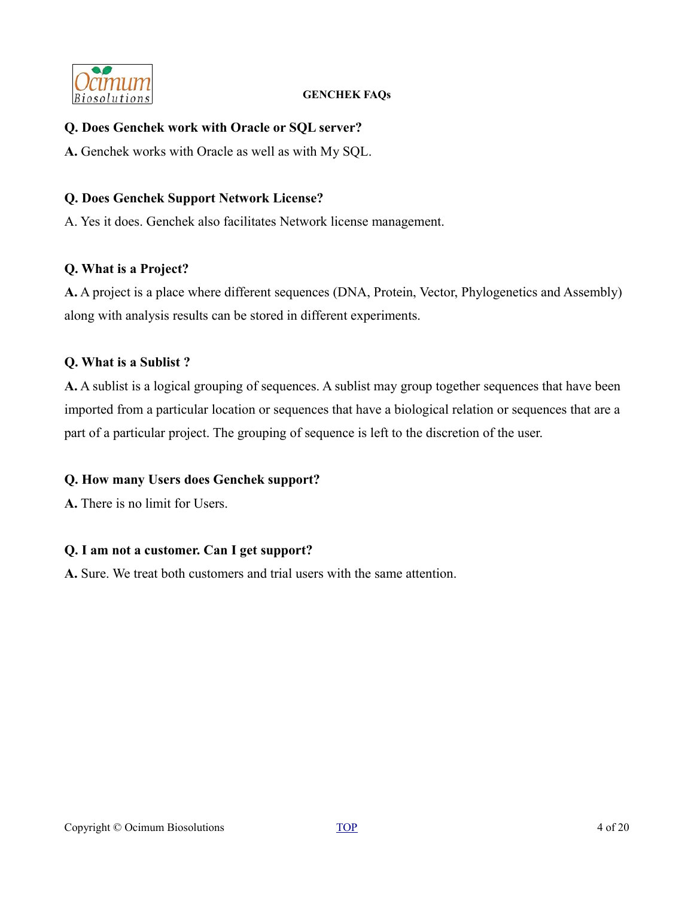

#### **Q. Does Genchek work with Oracle or SQL server?**

**A.** Genchek works with Oracle as well as with My SQL.

#### **Q. Does Genchek Support Network License?**

A. Yes it does. Genchek also facilitates Network license management.

#### **Q. What is a Project?**

**A.** A project is a place where different sequences (DNA, Protein, Vector, Phylogenetics and Assembly) along with analysis results can be stored in different experiments.

#### **Q. What is a Sublist ?**

**A.** A sublist is a logical grouping of sequences. A sublist may group together sequences that have been imported from a particular location or sequences that have a biological relation or sequences that are a part of a particular project. The grouping of sequence is left to the discretion of the user.

### **Q. How many Users does Genchek support?**

**A.** There is no limit for Users.

### **Q. I am not a customer. Can I get support?**

**A.** Sure. We treat both customers and trial users with the same attention.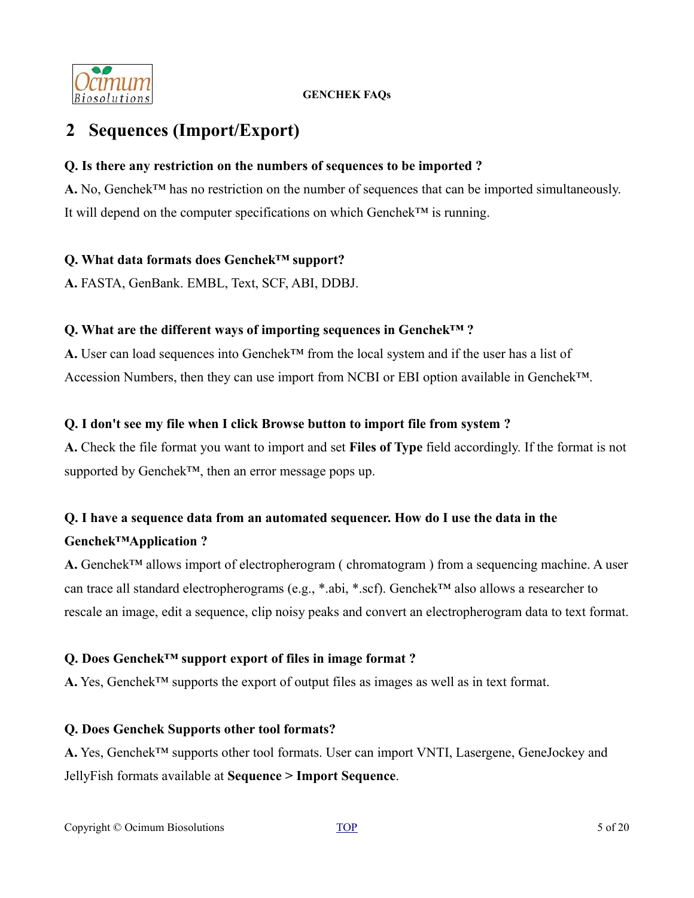

# <span id="page-4-0"></span>**2 Sequences (Import/Export)**

#### **Q. Is there any restriction on the numbers of sequences to be imported ?**

A. No, Genchek<sup>™</sup> has no restriction on the number of sequences that can be imported simultaneously. It will depend on the computer specifications on which Genchek™ is running.

#### **Q. What data formats does Genchek™ support?**

**A.** FASTA, GenBank. EMBL, Text, SCF, ABI, DDBJ.

#### **Q. What are the different ways of importing sequences in Genchek™ ?**

A. User can load sequences into Genchek<sup>™</sup> from the local system and if the user has a list of Accession Numbers, then they can use import from NCBI or EBI option available in Genchek™.

#### **Q. I don't see my file when I click Browse button to import file from system ?**

**A.** Check the file format you want to import and set **Files of Type** field accordingly. If the format is not supported by Genchek™, then an error message pops up.

# **Q. I have a sequence data from an automated sequencer. How do I use the data in the Genchek™Application ?**

**A.** Genchek™ allows import of electropherogram ( chromatogram ) from a sequencing machine. A user can trace all standard electropherograms (e.g., \*.abi, \*.scf). Genchek™ also allows a researcher to rescale an image, edit a sequence, clip noisy peaks and convert an electropherogram data to text format.

### **Q. Does Genchek™ support export of files in image format ?**

**A.** Yes, Genchek™ supports the export of output files as images as well as in text format.

### **Q. Does Genchek Supports other tool formats?**

**A.** Yes, Genchek™ supports other tool formats. User can import VNTI, Lasergene, GeneJockey and JellyFish formats available at **Sequence > Import Sequence**.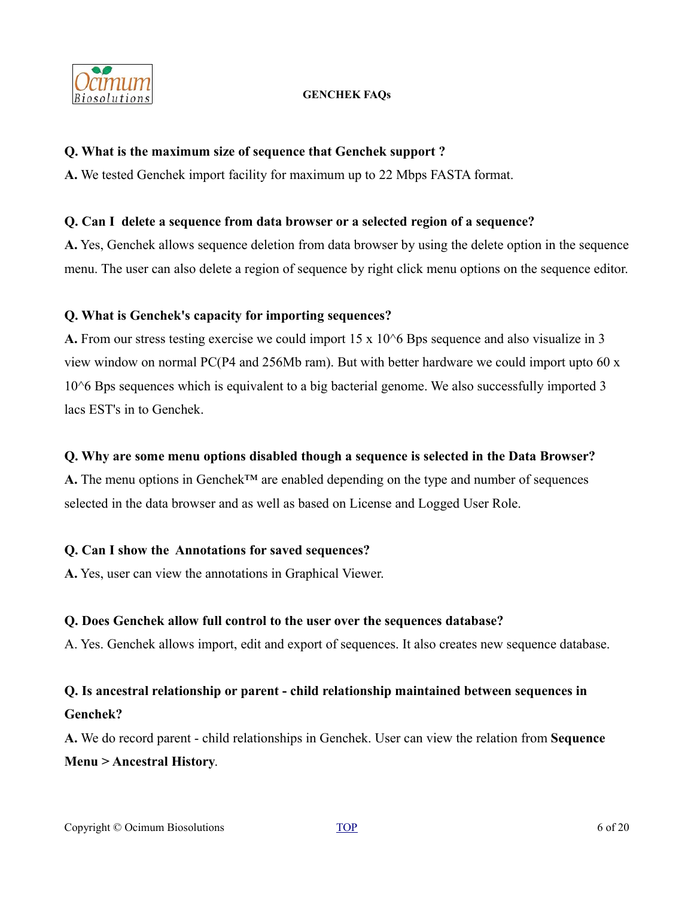

#### **Q. What is the maximum size of sequence that Genchek support ?**

**A.** We tested Genchek import facility for maximum up to 22 Mbps FASTA format.

#### **Q. Can I delete a sequence from data browser or a selected region of a sequence?**

**A.** Yes, Genchek allows sequence deletion from data browser by using the delete option in the sequence menu. The user can also delete a region of sequence by right click menu options on the sequence editor.

### **Q. What is Genchek's capacity for importing sequences?**

**A.** From our stress testing exercise we could import 15 x 10<sup> $\circ$ </sup>6 Bps sequence and also visualize in 3 view window on normal PC(P4 and 256Mb ram). But with better hardware we could import upto 60 x 10<sup> $\circ$ </sup>6 Bps sequences which is equivalent to a big bacterial genome. We also successfully imported 3 lacs EST's in to Genchek.

### **Q. Why are some menu options disabled though a sequence is selected in the Data Browser?**

A. The menu options in Genchek<sup>™</sup> are enabled depending on the type and number of sequences selected in the data browser and as well as based on License and Logged User Role.

### **Q. Can I show the Annotations for saved sequences?**

**A.** Yes, user can view the annotations in Graphical Viewer.

### **Q. Does Genchek allow full control to the user over the sequences database?**

A. Yes. Genchek allows import, edit and export of sequences. It also creates new sequence database.

# **Q. Is ancestral relationship or parent - child relationship maintained between sequences in Genchek?**

**A.** We do record parent - child relationships in Genchek. User can view the relation from **Sequence Menu > Ancestral History**.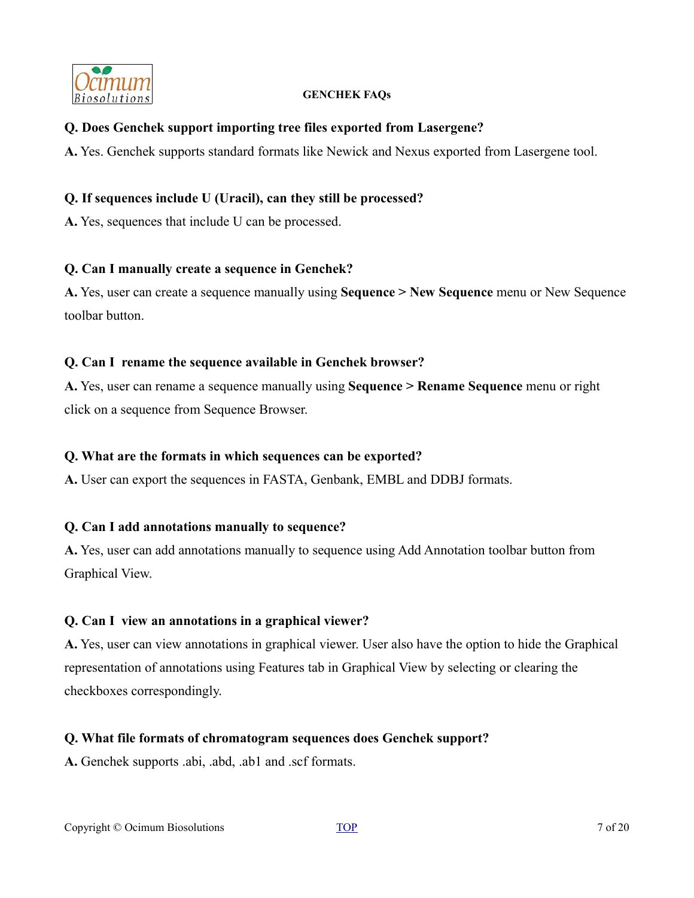

#### **Q. Does Genchek support importing tree files exported from Lasergene?**

**A.** Yes. Genchek supports standard formats like Newick and Nexus exported from Lasergene tool.

#### **Q. If sequences include U (Uracil), can they still be processed?**

**A.** Yes, sequences that include U can be processed.

#### **Q. Can I manually create a sequence in Genchek?**

**A.** Yes, user can create a sequence manually using **Sequence > New Sequence** menu or New Sequence toolbar button.

#### **Q. Can I rename the sequence available in Genchek browser?**

**A.** Yes, user can rename a sequence manually using **Sequence > Rename Sequence** menu or right click on a sequence from Sequence Browser.

#### **Q. What are the formats in which sequences can be exported?**

**A.** User can export the sequences in FASTA, Genbank, EMBL and DDBJ formats.

### **Q. Can I add annotations manually to sequence?**

**A.** Yes, user can add annotations manually to sequence using Add Annotation toolbar button from Graphical View.

### **Q. Can I view an annotations in a graphical viewer?**

**A.** Yes, user can view annotations in graphical viewer. User also have the option to hide the Graphical representation of annotations using Features tab in Graphical View by selecting or clearing the checkboxes correspondingly.

#### **Q. What file formats of chromatogram sequences does Genchek support?**

**A.** Genchek supports .abi, .abd, .ab1 and .scf formats.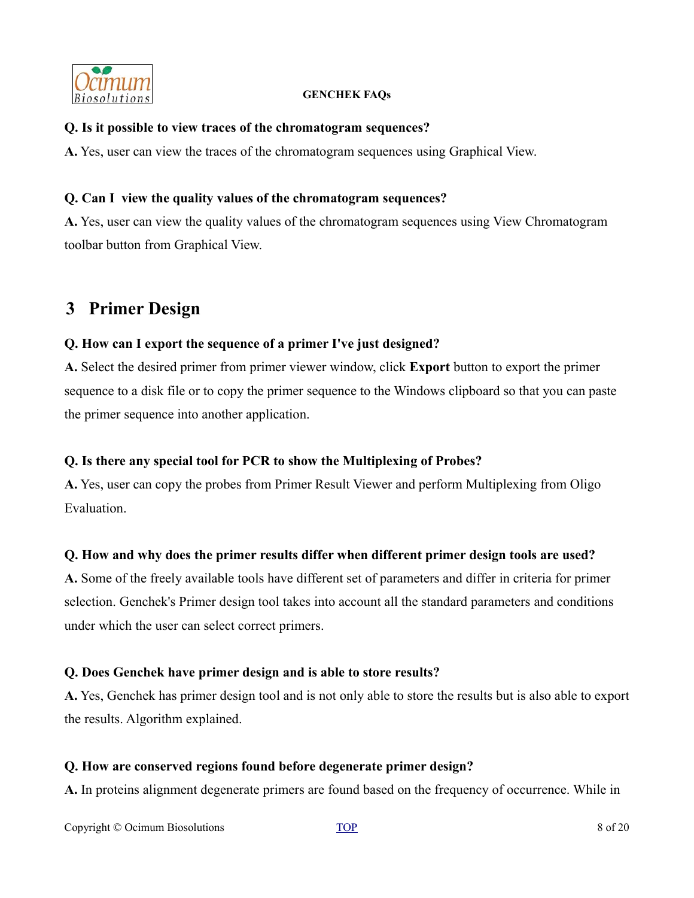

#### **Q. Is it possible to view traces of the chromatogram sequences?**

**A.** Yes, user can view the traces of the chromatogram sequences using Graphical View.

#### **Q. Can I view the quality values of the chromatogram sequences?**

**A.** Yes, user can view the quality values of the chromatogram sequences using View Chromatogram toolbar button from Graphical View.

# <span id="page-7-0"></span>**3 Primer Design**

#### **Q. How can I export the sequence of a primer I've just designed?**

**A.** Select the desired primer from primer viewer window, click **Export** button to export the primer sequence to a disk file or to copy the primer sequence to the Windows clipboard so that you can paste the primer sequence into another application.

### **Q. Is there any special tool for PCR to show the Multiplexing of Probes?**

**A.** Yes, user can copy the probes from Primer Result Viewer and perform Multiplexing from Oligo Evaluation.

### **Q. How and why does the primer results differ when different primer design tools are used?**

**A.** Some of the freely available tools have different set of parameters and differ in criteria for primer selection. Genchek's Primer design tool takes into account all the standard parameters and conditions under which the user can select correct primers.

#### **Q. Does Genchek have primer design and is able to store results?**

**A.** Yes, Genchek has primer design tool and is not only able to store the results but is also able to export the results. Algorithm explained.

#### **Q. How are conserved regions found before degenerate primer design?**

**A.** In proteins alignment degenerate primers are found based on the frequency of occurrence. While in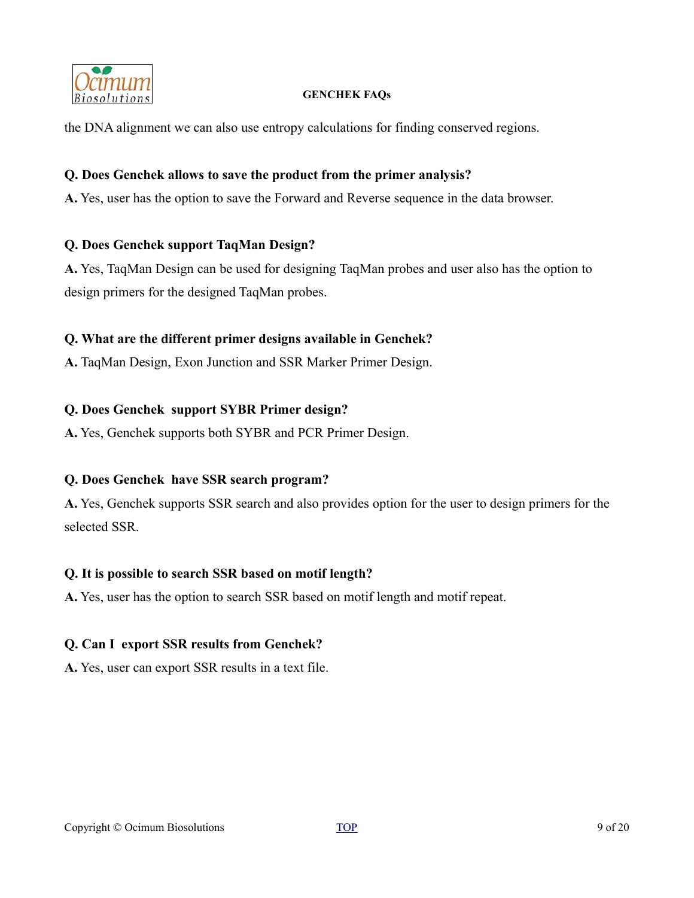

the DNA alignment we can also use entropy calculations for finding conserved regions.

#### **Q. Does Genchek allows to save the product from the primer analysis?**

**A.** Yes, user has the option to save the Forward and Reverse sequence in the data browser.

#### **Q. Does Genchek support TaqMan Design?**

**A.** Yes, TaqMan Design can be used for designing TaqMan probes and user also has the option to design primers for the designed TaqMan probes.

#### **Q. What are the different primer designs available in Genchek?**

**A.** TaqMan Design, Exon Junction and SSR Marker Primer Design.

#### **Q. Does Genchek support SYBR Primer design?**

**A.** Yes, Genchek supports both SYBR and PCR Primer Design.

### **Q. Does Genchek have SSR search program?**

**A.** Yes, Genchek supports SSR search and also provides option for the user to design primers for the selected SSR.

#### **Q. It is possible to search SSR based on motif length?**

**A.** Yes, user has the option to search SSR based on motif length and motif repeat.

### **Q. Can I export SSR results from Genchek?**

**A.** Yes, user can export SSR results in a text file.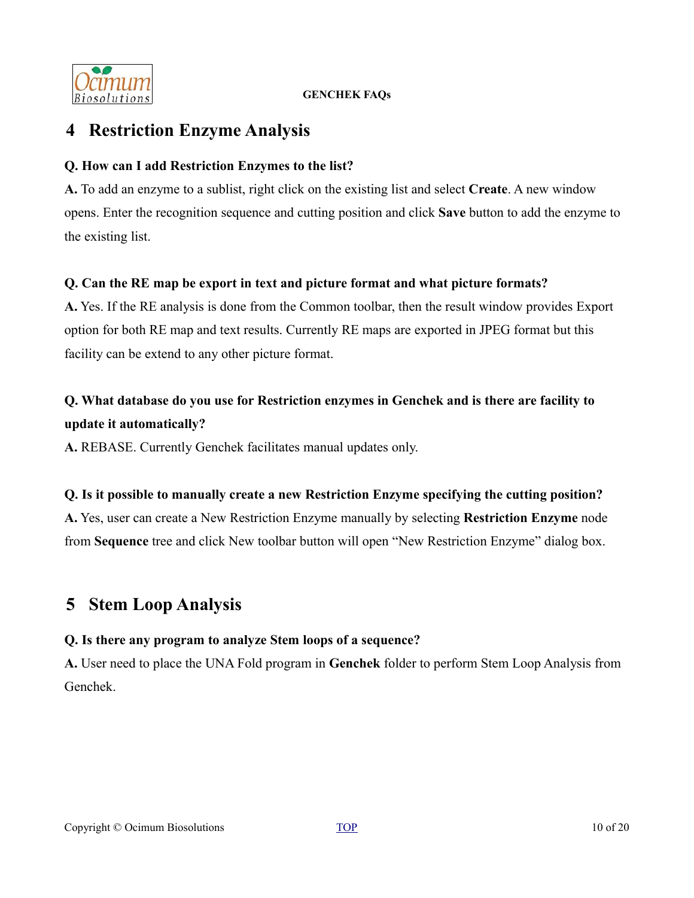

# <span id="page-9-1"></span>**4 Restriction Enzyme Analysis**

### **Q. How can I add Restriction Enzymes to the list?**

**A.** To add an enzyme to a sublist, right click on the existing list and select **Create**. A new window opens. Enter the recognition sequence and cutting position and click **Save** button to add the enzyme to the existing list.

# **Q. Can the RE map be export in text and picture format and what picture formats?**

**A.** Yes. If the RE analysis is done from the Common toolbar, then the result window provides Export option for both RE map and text results. Currently RE maps are exported in JPEG format but this facility can be extend to any other picture format.

# **Q. What database do you use for Restriction enzymes in Genchek and is there are facility to update it automatically?**

**A.** REBASE. Currently Genchek facilitates manual updates only.

### **Q. Is it possible to manually create a new Restriction Enzyme specifying the cutting position?**

**A.** Yes, user can create a New Restriction Enzyme manually by selecting **Restriction Enzyme** node from **Sequence** tree and click New toolbar button will open "New Restriction Enzyme" dialog box.

# <span id="page-9-0"></span>**5 Stem Loop Analysis**

# **Q. Is there any program to analyze Stem loops of a sequence?**

**A.** User need to place the UNA Fold program in **Genchek** folder to perform Stem Loop Analysis from Genchek.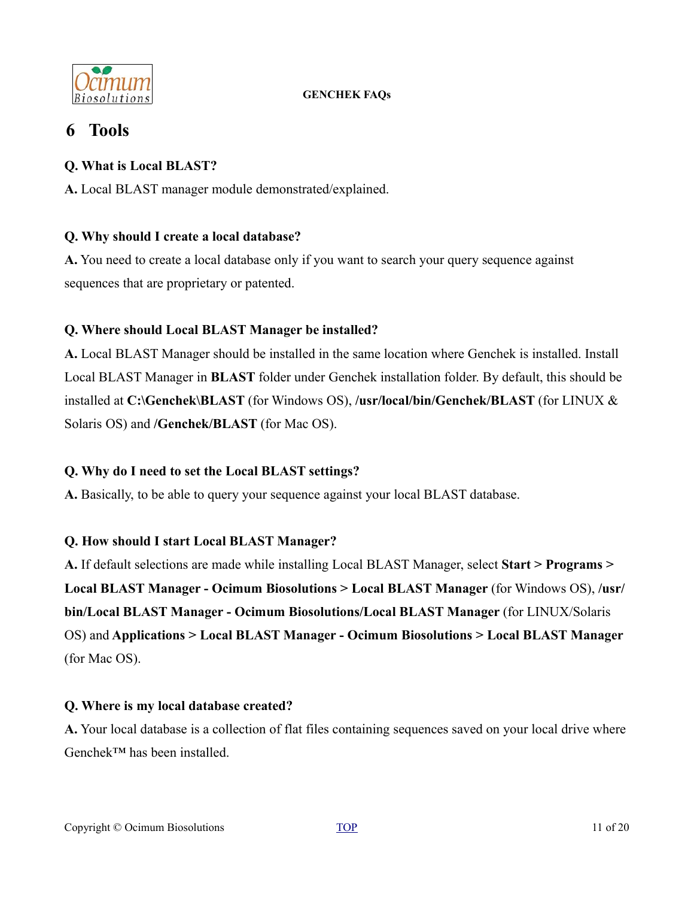

# <span id="page-10-0"></span>**6 Tools**

### **Q. What is Local BLAST?**

**A.** Local BLAST manager module demonstrated/explained.

# **Q. Why should I create a local database?**

**A.** You need to create a local database only if you want to search your query sequence against sequences that are proprietary or patented.

# **Q. Where should Local BLAST Manager be installed?**

**A.** Local BLAST Manager should be installed in the same location where Genchek is installed. Install Local BLAST Manager in **BLAST** folder under Genchek installation folder. By default, this should be installed at **C:\Genchek\BLAST** (for Windows OS), **/usr/local/bin/Genchek/BLAST** (for LINUX & Solaris OS) and **/Genchek/BLAST** (for Mac OS).

### **Q. Why do I need to set the Local BLAST settings?**

**A.** Basically, to be able to query your sequence against your local BLAST database.

### **Q. How should I start Local BLAST Manager?**

**A.** If default selections are made while installing Local BLAST Manager, select **Start > Programs > Local BLAST Manager - Ocimum Biosolutions > Local BLAST Manager** (for Windows OS), **/usr/ bin/Local BLAST Manager - Ocimum Biosolutions/Local BLAST Manager** (for LINUX/Solaris OS) and **Applications > Local BLAST Manager - Ocimum Biosolutions > Local BLAST Manager** (for Mac OS).

### **Q. Where is my local database created?**

**A.** Your local database is a collection of flat files containing sequences saved on your local drive where Genchek™ has been installed.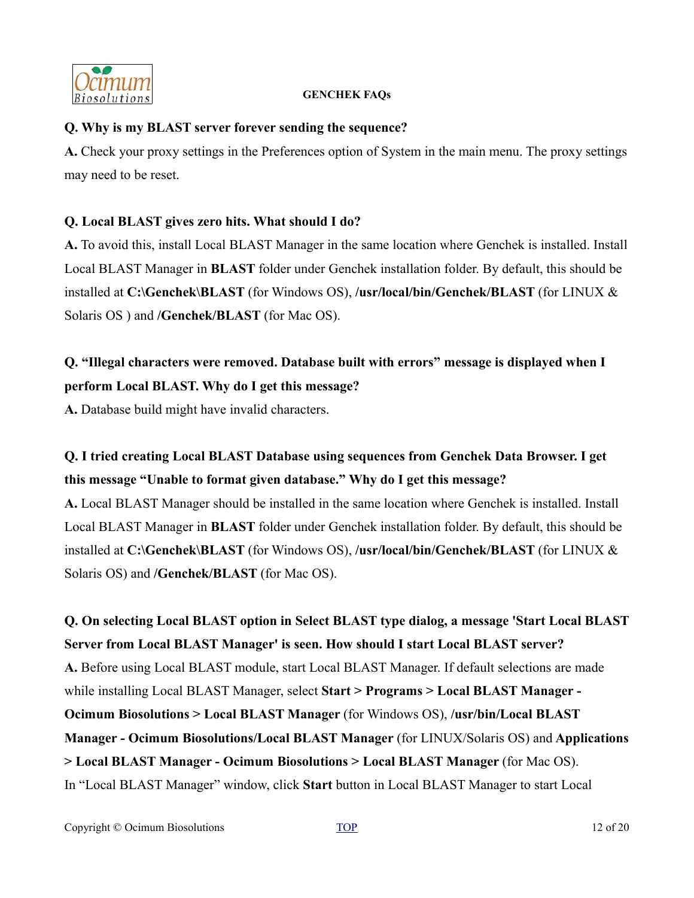

### **Q. Why is my BLAST server forever sending the sequence?**

**A.** Check your proxy settings in the Preferences option of System in the main menu. The proxy settings may need to be reset.

# **Q. Local BLAST gives zero hits. What should I do?**

**A.** To avoid this, install Local BLAST Manager in the same location where Genchek is installed. Install Local BLAST Manager in **BLAST** folder under Genchek installation folder. By default, this should be installed at **C:\Genchek\BLAST** (for Windows OS), **/usr/local/bin/Genchek/BLAST** (for LINUX & Solaris OS ) and **/Genchek/BLAST** (for Mac OS).

# **Q. "Illegal characters were removed. Database built with errors" message is displayed when I perform Local BLAST. Why do I get this message?**

**A.** Database build might have invalid characters.

# **Q. I tried creating Local BLAST Database using sequences from Genchek Data Browser. I get this message "Unable to format given database." Why do I get this message?**

**A.** Local BLAST Manager should be installed in the same location where Genchek is installed. Install Local BLAST Manager in **BLAST** folder under Genchek installation folder. By default, this should be installed at **C:\Genchek\BLAST** (for Windows OS), **/usr/local/bin/Genchek/BLAST** (for LINUX & Solaris OS) and **/Genchek/BLAST** (for Mac OS).

**Q. On selecting Local BLAST option in Select BLAST type dialog, a message 'Start Local BLAST Server from Local BLAST Manager' is seen. How should I start Local BLAST server? A.** Before using Local BLAST module, start Local BLAST Manager. If default selections are made while installing Local BLAST Manager, select **Start > Programs > Local BLAST Manager - Ocimum Biosolutions > Local BLAST Manager** (for Windows OS), **/usr/bin/Local BLAST Manager - Ocimum Biosolutions/Local BLAST Manager** (for LINUX/Solaris OS) and **Applications > Local BLAST Manager - Ocimum Biosolutions > Local BLAST Manager** (for Mac OS). In "Local BLAST Manager" window, click **Start** button in Local BLAST Manager to start Local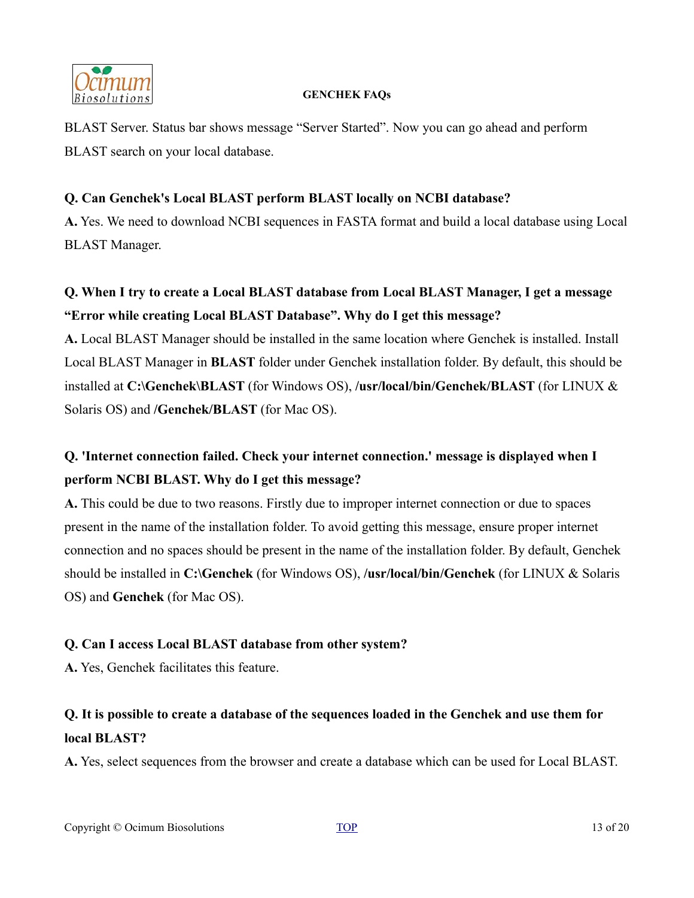

BLAST Server. Status bar shows message "Server Started". Now you can go ahead and perform BLAST search on your local database.

### **Q. Can Genchek's Local BLAST perform BLAST locally on NCBI database?**

**A.** Yes. We need to download NCBI sequences in FASTA format and build a local database using Local BLAST Manager.

# **Q. When I try to create a Local BLAST database from Local BLAST Manager, I get a message "Error while creating Local BLAST Database". Why do I get this message?**

**A.** Local BLAST Manager should be installed in the same location where Genchek is installed. Install Local BLAST Manager in **BLAST** folder under Genchek installation folder. By default, this should be installed at **C:\Genchek\BLAST** (for Windows OS), **/usr/local/bin/Genchek/BLAST** (for LINUX & Solaris OS) and **/Genchek/BLAST** (for Mac OS).

# **Q. 'Internet connection failed. Check your internet connection.' message is displayed when I perform NCBI BLAST. Why do I get this message?**

**A.** This could be due to two reasons. Firstly due to improper internet connection or due to spaces present in the name of the installation folder. To avoid getting this message, ensure proper internet connection and no spaces should be present in the name of the installation folder. By default, Genchek should be installed in **C:\Genchek** (for Windows OS), **/usr/local/bin/Genchek** (for LINUX & Solaris OS) and **Genchek** (for Mac OS).

### **Q. Can I access Local BLAST database from other system?**

**A.** Yes, Genchek facilitates this feature.

# **Q. It is possible to create a database of the sequences loaded in the Genchek and use them for local BLAST?**

**A.** Yes, select sequences from the browser and create a database which can be used for Local BLAST.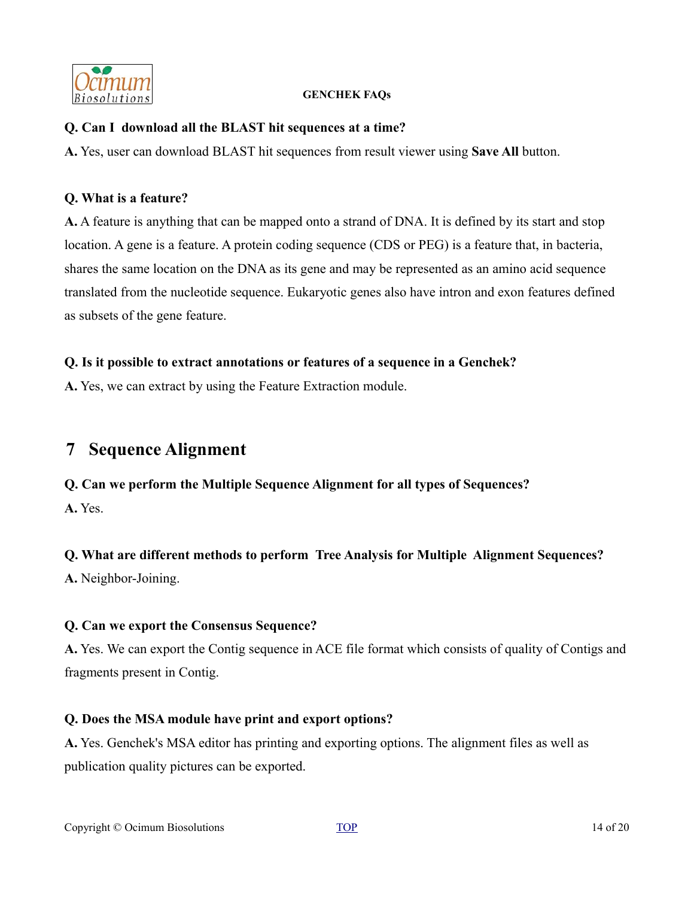

#### **Q. Can I download all the BLAST hit sequences at a time?**

**A.** Yes, user can download BLAST hit sequences from result viewer using **Save All** button.

#### **Q. What is a feature?**

**A.** A feature is anything that can be mapped onto a strand of DNA. It is defined by its start and stop location. A gene is a feature. A protein coding sequence (CDS or PEG) is a feature that, in bacteria, shares the same location on the DNA as its gene and may be represented as an amino acid sequence translated from the nucleotide sequence. Eukaryotic genes also have intron and exon features defined as subsets of the gene feature.

### **Q. Is it possible to extract annotations or features of a sequence in a Genchek?**

**A.** Yes, we can extract by using the Feature Extraction module.

# <span id="page-13-0"></span>**7 Sequence Alignment**

### **Q. Can we perform the Multiple Sequence Alignment for all types of Sequences?**

**A.** Yes.

### **Q. What are different methods to perform Tree Analysis for Multiple Alignment Sequences?**

**A.** Neighbor-Joining.

### **Q. Can we export the Consensus Sequence?**

**A.** Yes. We can export the Contig sequence in ACE file format which consists of quality of Contigs and fragments present in Contig.

### **Q. Does the MSA module have print and export options?**

**A.** Yes. Genchek's MSA editor has printing and exporting options. The alignment files as well as publication quality pictures can be exported.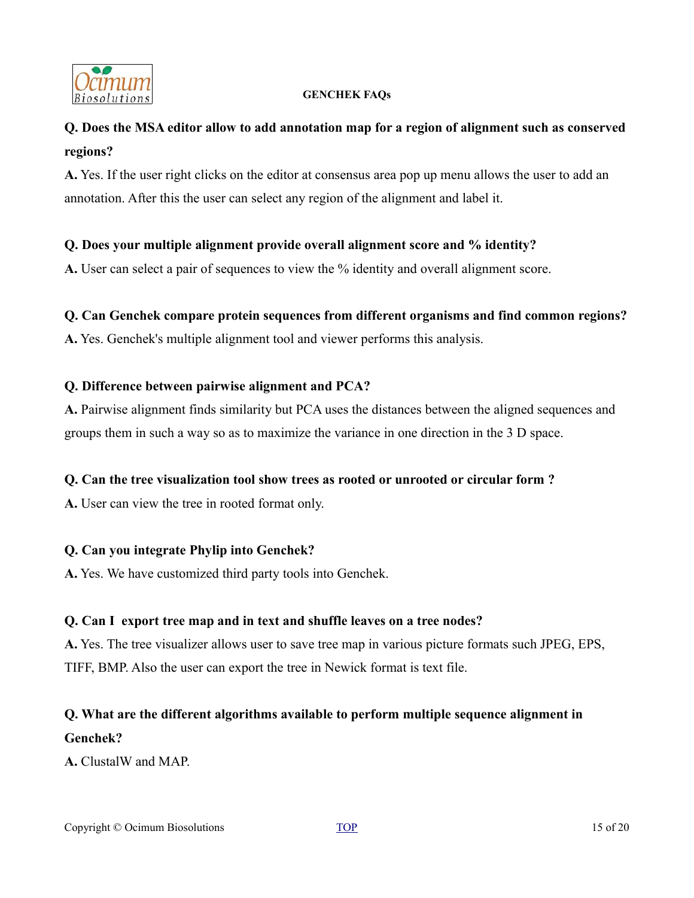

# **Q. Does the MSA editor allow to add annotation map for a region of alignment such as conserved regions?**

**A.** Yes. If the user right clicks on the editor at consensus area pop up menu allows the user to add an annotation. After this the user can select any region of the alignment and label it.

# **Q. Does your multiple alignment provide overall alignment score and % identity?**

**A.** User can select a pair of sequences to view the % identity and overall alignment score.

### **Q. Can Genchek compare protein sequences from different organisms and find common regions?**

**A.** Yes. Genchek's multiple alignment tool and viewer performs this analysis.

#### **Q. Difference between pairwise alignment and PCA?**

**A.** Pairwise alignment finds similarity but PCA uses the distances between the aligned sequences and groups them in such a way so as to maximize the variance in one direction in the 3 D space.

### **Q. Can the tree visualization tool show trees as rooted or unrooted or circular form ?**

**A.** User can view the tree in rooted format only.

### **Q. Can you integrate Phylip into Genchek?**

**A.** Yes. We have customized third party tools into Genchek.

### **Q. Can I export tree map and in text and shuffle leaves on a tree nodes?**

**A.** Yes. The tree visualizer allows user to save tree map in various picture formats such JPEG, EPS, TIFF, BMP. Also the user can export the tree in Newick format is text file.

# **Q. What are the different algorithms available to perform multiple sequence alignment in Genchek?**

**A.** ClustalW and MAP.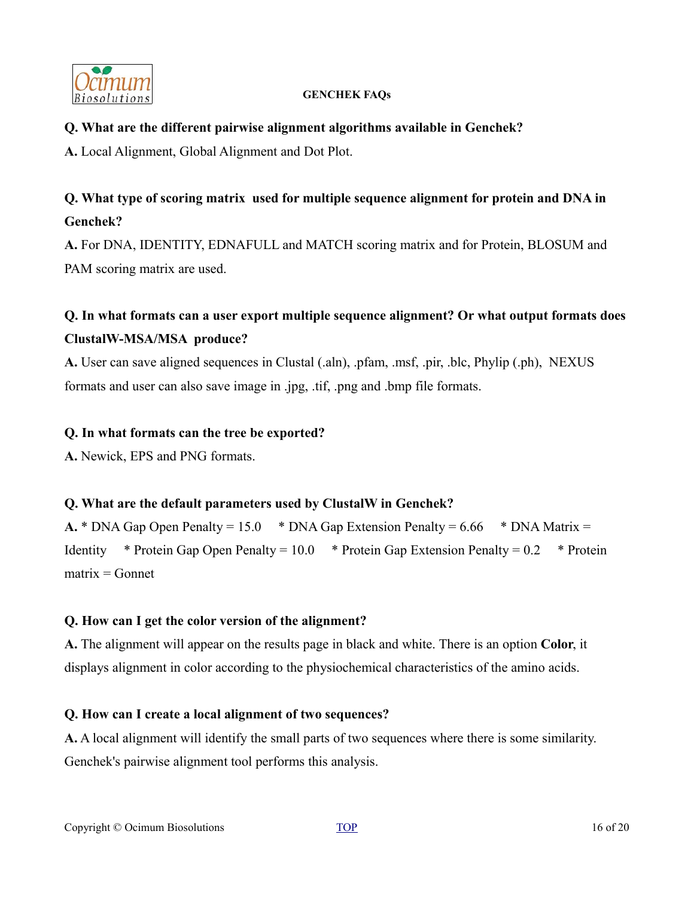

### **Q. What are the different pairwise alignment algorithms available in Genchek?**

**A.** Local Alignment, Global Alignment and Dot Plot.

# **Q. What type of scoring matrix used for multiple sequence alignment for protein and DNA in Genchek?**

**A.** For DNA, IDENTITY, EDNAFULL and MATCH scoring matrix and for Protein, BLOSUM and PAM scoring matrix are used.

# **Q. In what formats can a user export multiple sequence alignment? Or what output formats does ClustalW-MSA/MSA produce?**

**A.** User can save aligned sequences in Clustal (.aln), .pfam, .msf, .pir, .blc, Phylip (.ph), NEXUS formats and user can also save image in .jpg, .tif, .png and .bmp file formats.

### **Q. In what formats can the tree be exported?**

**A.** Newick, EPS and PNG formats.

### **Q. What are the default parameters used by ClustalW in Genchek?**

**A.** \* DNA Gap Open Penalty = 15.0 \* DNA Gap Extension Penalty = 6.66 \* DNA Matrix = Identity \* Protein Gap Open Penalty =  $10.0$  \* Protein Gap Extension Penalty =  $0.2$  \* Protein  $matrix = Gonnet$ 

# **Q. How can I get the color version of the alignment?**

**A.** The alignment will appear on the results page in black and white. There is an option **Color**, it displays alignment in color according to the physiochemical characteristics of the amino acids.

### **Q. How can I create a local alignment of two sequences?**

**A.** A local alignment will identify the small parts of two sequences where there is some similarity. Genchek's pairwise alignment tool performs this analysis.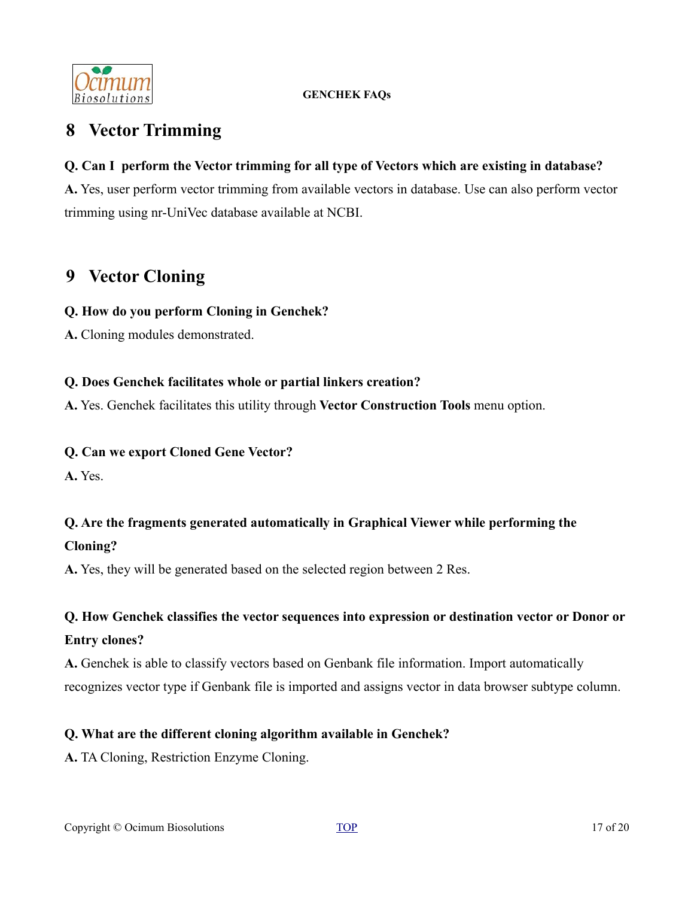

# <span id="page-16-1"></span>**8 Vector Trimming**

# **Q. Can I perform the Vector trimming for all type of Vectors which are existing in database?**

**A.** Yes, user perform vector trimming from available vectors in database. Use can also perform vector trimming using nr-UniVec database available at NCBI.

# <span id="page-16-0"></span>**9 Vector Cloning**

### **Q. How do you perform Cloning in Genchek?**

**A.** Cloning modules demonstrated.

# **Q. Does Genchek facilitates whole or partial linkers creation?**

**A.** Yes. Genchek facilitates this utility through **Vector Construction Tools** menu option.

### **Q. Can we export Cloned Gene Vector?**

**A.** Yes.

# **Q. Are the fragments generated automatically in Graphical Viewer while performing the**

# **Cloning?**

**A.** Yes, they will be generated based on the selected region between 2 Res.

# **Q. How Genchek classifies the vector sequences into expression or destination vector or Donor or**

# **Entry clones?**

**A.** Genchek is able to classify vectors based on Genbank file information. Import automatically recognizes vector type if Genbank file is imported and assigns vector in data browser subtype column.

# **Q. What are the different cloning algorithm available in Genchek?**

**A.** TA Cloning, Restriction Enzyme Cloning.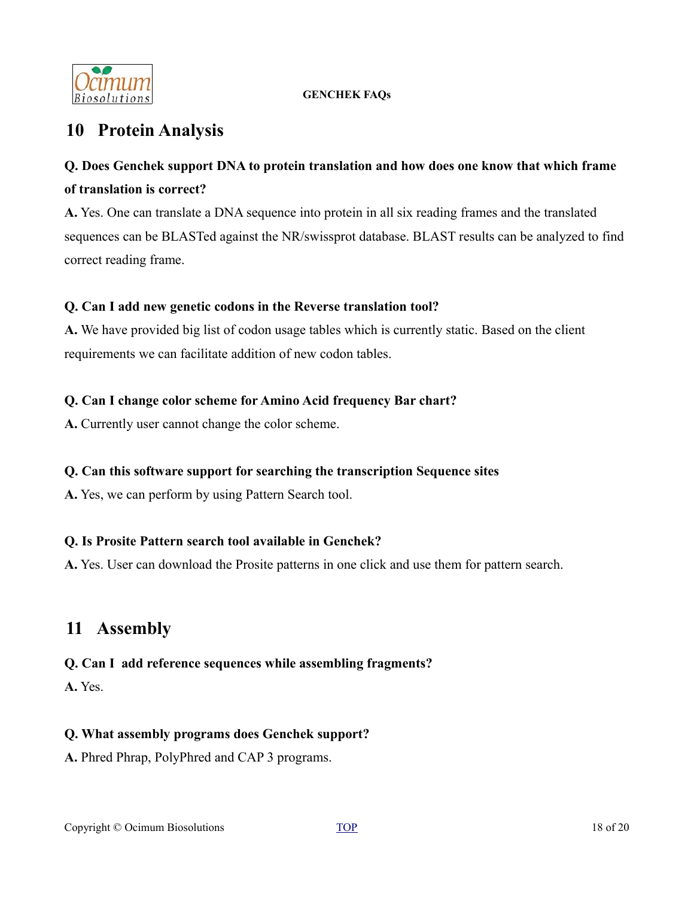

# <span id="page-17-1"></span>**10 Protein Analysis**

# **Q. Does Genchek support DNA to protein translation and how does one know that which frame of translation is correct?**

**A.** Yes. One can translate a DNA sequence into protein in all six reading frames and the translated sequences can be BLASTed against the NR/swissprot database. BLAST results can be analyzed to find correct reading frame.

# **Q. Can I add new genetic codons in the Reverse translation tool?**

**A.** We have provided big list of codon usage tables which is currently static. Based on the client requirements we can facilitate addition of new codon tables.

# **Q. Can I change color scheme for Amino Acid frequency Bar chart?**

**A.** Currently user cannot change the color scheme.

# **Q. Can this software support for searching the transcription Sequence sites**

**A.** Yes, we can perform by using Pattern Search tool.

### **Q. Is Prosite Pattern search tool available in Genchek?**

**A.** Yes. User can download the Prosite patterns in one click and use them for pattern search.

# <span id="page-17-0"></span>**11 Assembly**

# **Q. Can I add reference sequences while assembling fragments?**

**A.** Yes.

# **Q. What assembly programs does Genchek support?**

**A.** Phred Phrap, PolyPhred and CAP 3 programs.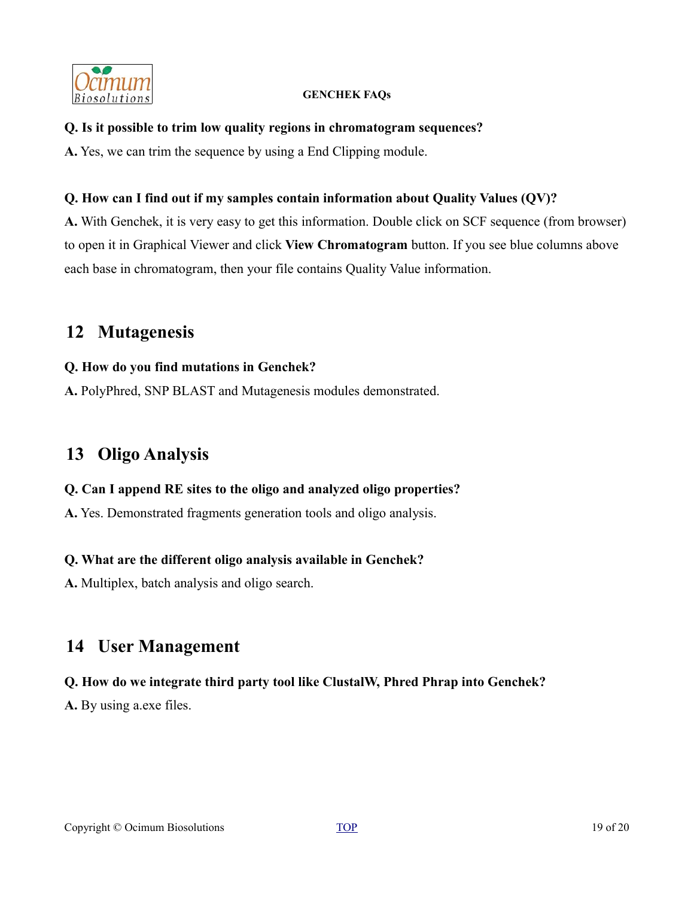

#### **Q. Is it possible to trim low quality regions in chromatogram sequences?**

**A.** Yes, we can trim the sequence by using a End Clipping module.

### **Q. How can I find out if my samples contain information about Quality Values (QV)?**

**A.** With Genchek, it is very easy to get this information. Double click on SCF sequence (from browser) to open it in Graphical Viewer and click **View Chromatogram** button. If you see blue columns above each base in chromatogram, then your file contains Quality Value information.

# <span id="page-18-2"></span>**12 Mutagenesis**

### **Q. How do you find mutations in Genchek?**

**A.** PolyPhred, SNP BLAST and Mutagenesis modules demonstrated.

# <span id="page-18-1"></span>**13 Oligo Analysis**

### **Q. Can I append RE sites to the oligo and analyzed oligo properties?**

**A.** Yes. Demonstrated fragments generation tools and oligo analysis.

### **Q. What are the different oligo analysis available in Genchek?**

**A.** Multiplex, batch analysis and oligo search.

# <span id="page-18-0"></span>**14 User Management**

### **Q. How do we integrate third party tool like ClustalW, Phred Phrap into Genchek?**

**A.** By using a.exe files.